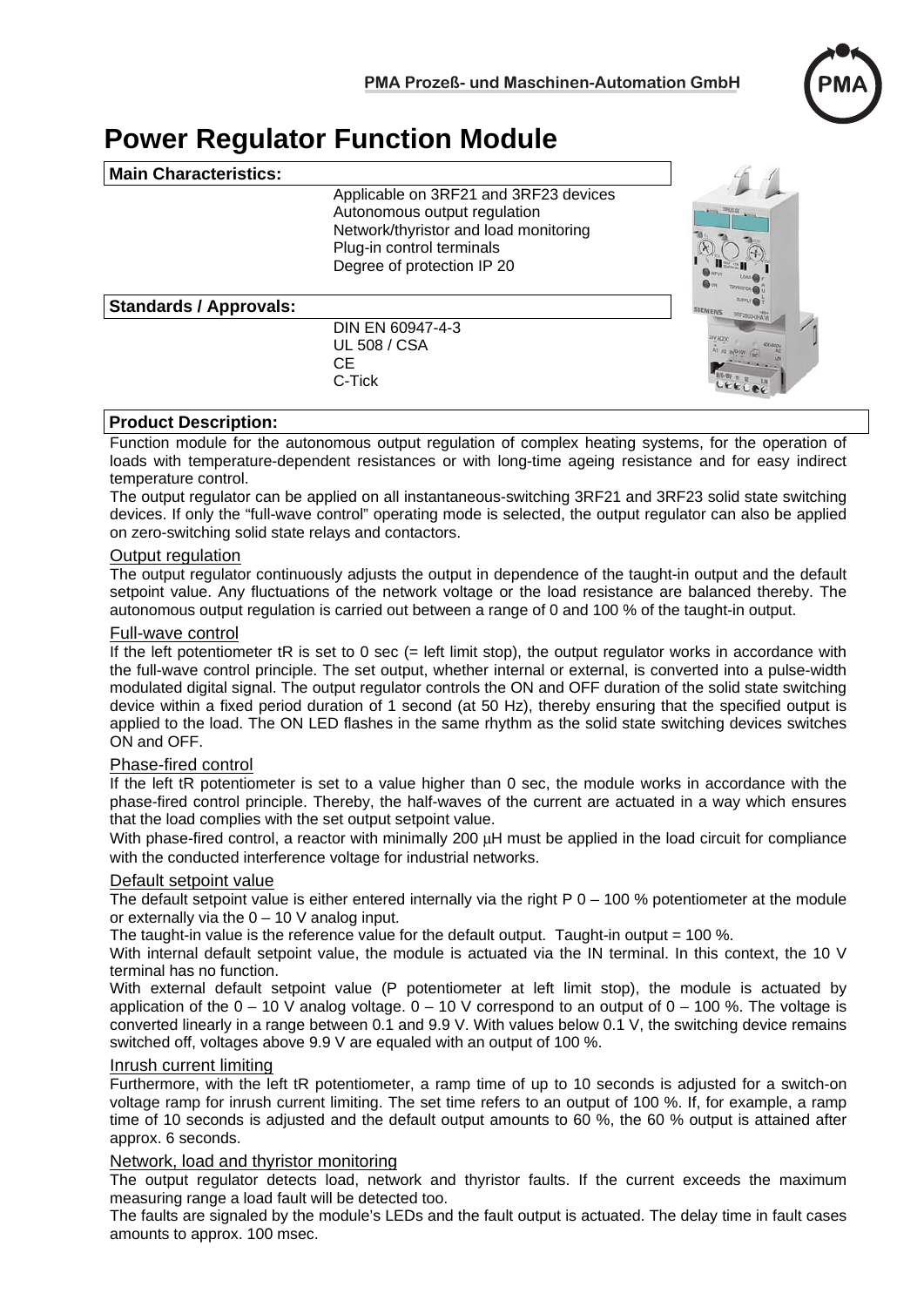

# **Power Regulator Function Module**

| <b>Main Characteristics:</b>  |                                                                                                                                                                           |                                                         |
|-------------------------------|---------------------------------------------------------------------------------------------------------------------------------------------------------------------------|---------------------------------------------------------|
|                               | Applicable on 3RF21 and 3RF23 devices<br>Autonomous output regulation<br>Network/thyristor and load monitoring<br>Plug-in control terminals<br>Degree of protection IP 20 | <b>MARKET STRUCK</b>                                    |
| <b>Standards / Approvals:</b> |                                                                                                                                                                           | <b>SUPPLY</b><br><b>SIEMENS</b><br><b>JRF2920-0HA16</b> |
|                               | DIN EN 60947-4-3<br><b>UL 508 / CSA</b><br>CЕ<br>C-Tick                                                                                                                   |                                                         |

### **Product Description:**

Function module for the autonomous output regulation of complex heating systems, for the operation of loads with temperature-dependent resistances or with long-time ageing resistance and for easy indirect temperature control.

The output regulator can be applied on all instantaneous-switching 3RF21 and 3RF23 solid state switching devices. If only the "full-wave control" operating mode is selected, the output regulator can also be applied on zero-switching solid state relays and contactors.

### **Output regulation**

The output regulator continuously adjusts the output in dependence of the taught-in output and the default setpoint value. Any fluctuations of the network voltage or the load resistance are balanced thereby. The autonomous output regulation is carried out between a range of 0 and 100 % of the taught-in output.

### Full-wave control

If the left potentiometer tR is set to 0 sec (= left limit stop), the output regulator works in accordance with the full-wave control principle. The set output, whether internal or external, is converted into a pulse-width modulated digital signal. The output regulator controls the ON and OFF duration of the solid state switching device within a fixed period duration of 1 second (at 50 Hz), thereby ensuring that the specified output is applied to the load. The ON LED flashes in the same rhythm as the solid state switching devices switches ON and OFF.

### Phase-fired control

If the left tR potentiometer is set to a value higher than 0 sec, the module works in accordance with the phase-fired control principle. Thereby, the half-waves of the current are actuated in a way which ensures that the load complies with the set output setpoint value.

With phase-fired control, a reactor with minimally 200 μH must be applied in the load circuit for compliance with the conducted interference voltage for industrial networks.

### Default setpoint value

The default setpoint value is either entered internally via the right  $P 0 - 100 %$  potentiometer at the module or externally via the  $0 - 10$  V analog input.

The taught-in value is the reference value for the default output. Taught-in output  $= 100$  %.

With internal default setpoint value, the module is actuated via the IN terminal. In this context, the 10 V terminal has no function.

With external default setpoint value (P potentiometer at left limit stop), the module is actuated by application of the  $0 - 10$  V analog voltage.  $0 - 10$  V correspond to an output of  $0 - 100$  %. The voltage is converted linearly in a range between 0.1 and 9.9 V. With values below 0.1 V, the switching device remains switched off, voltages above 9.9 V are equaled with an output of 100 %.

### Inrush current limiting

Furthermore, with the left tR potentiometer, a ramp time of up to 10 seconds is adjusted for a switch-on voltage ramp for inrush current limiting. The set time refers to an output of 100 %. If, for example, a ramp time of 10 seconds is adjusted and the default output amounts to 60 %, the 60 % output is attained after approx. 6 seconds.

### Network, load and thyristor monitoring

The output regulator detects load, network and thyristor faults. If the current exceeds the maximum measuring range a load fault will be detected too.

The faults are signaled by the module's LEDs and the fault output is actuated. The delay time in fault cases amounts to approx. 100 msec.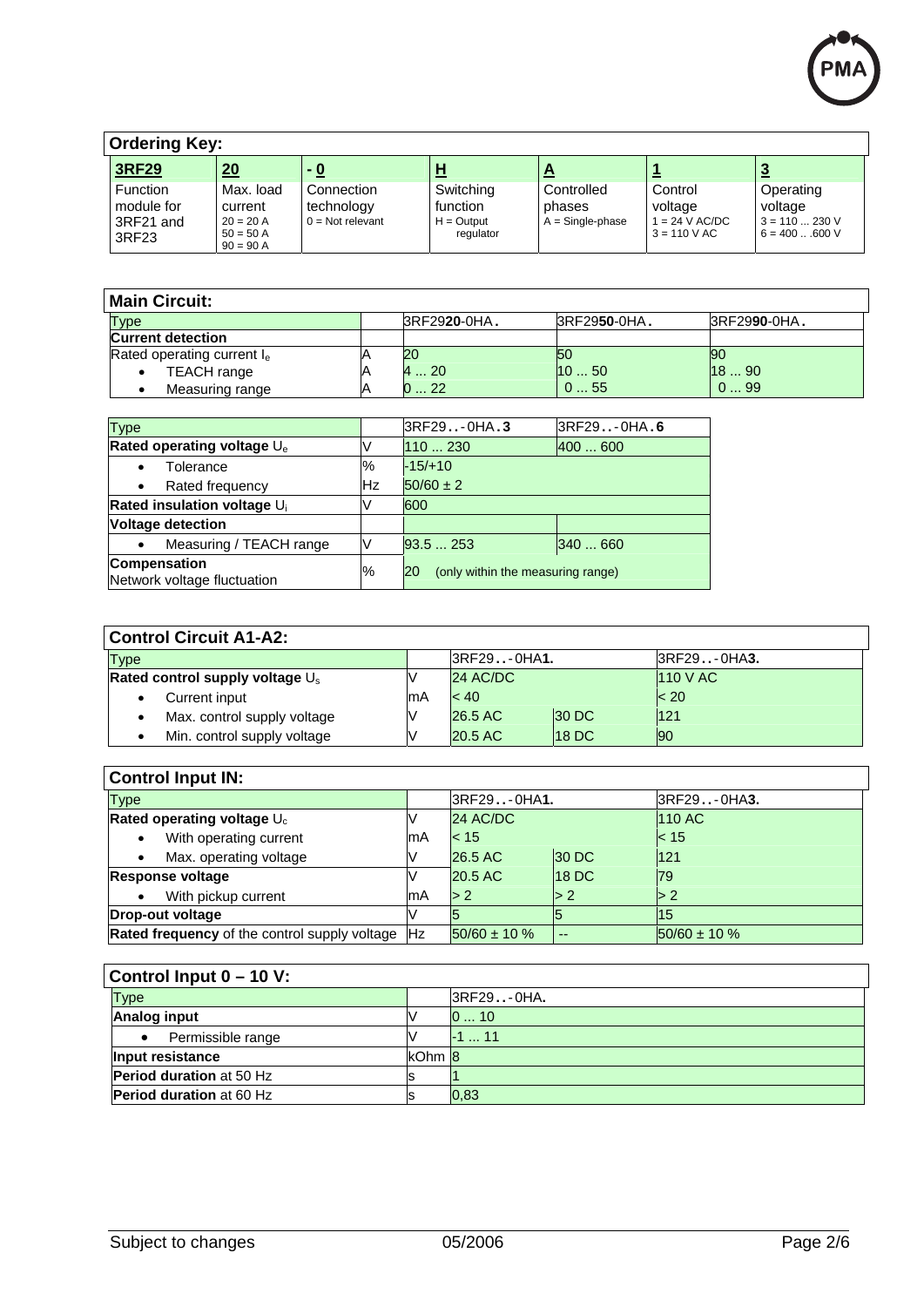

| <b>Ordering Key:</b>                         |                                                                   |                                                |                                                    |                                            |                                                        |                                                          |  |  |  |
|----------------------------------------------|-------------------------------------------------------------------|------------------------------------------------|----------------------------------------------------|--------------------------------------------|--------------------------------------------------------|----------------------------------------------------------|--|--|--|
| 3RF29                                        | $\underline{20}$                                                  | <u>- 0</u>                                     | <u>ਮ</u>                                           | $\mathbf{\Gamma}$                          |                                                        |                                                          |  |  |  |
| Function<br>module for<br>3RF21 and<br>3RF23 | Max. load<br>current<br>$20 = 20 A$<br>$50 = 50$ A<br>$90 = 90 A$ | Connection<br>technology<br>$0 = Not$ relevant | Switching<br>function<br>$H =$ Output<br>regulator | Controlled<br>phases<br>$A =$ Single-phase | Control<br>voltage<br>$= 24 V AC/DC$<br>$3 = 110 V AC$ | Operating<br>voltage<br>$3 = 110230$ V<br>$6 = 400600$ V |  |  |  |

| <b>Main Circuit:</b>       |              |              |              |
|----------------------------|--------------|--------------|--------------|
| Type                       | 3RF2920-0HA. | 3RF2950-0HA. | 3RF2990-0HA. |
| <b>Current detection</b>   |              |              |              |
| Rated operating current le | 20           | 150          | 90           |
| <b>TEACH</b> range<br>٠    | $\dots 20$   | 11050        | 1890         |
| Measuring range            | 22           | 055          | 099          |

| <b>Type</b>                                             |                | 3RF29-0HA                               | 3RF29-0HA.6 |  |  |
|---------------------------------------------------------|----------------|-----------------------------------------|-------------|--|--|
| <b>Rated operating voltage U<sub>e</sub></b>            |                | 110230                                  | 400600      |  |  |
| Tolerance                                               | $\frac{10}{6}$ | $-15/10$                                |             |  |  |
| Rated frequency<br>٠                                    | <b>Hz</b>      | $50/60 \pm 2$                           |             |  |  |
| <b>Rated insulation voltage U<sub>i</sub></b>           |                | 600                                     |             |  |  |
| <b>Voltage detection</b>                                |                |                                         |             |  |  |
| Measuring / TEACH range<br>$\bullet$                    |                | 93.5253                                 | 340  660    |  |  |
| <b>Compensation</b><br>%<br>Network voltage fluctuation |                | (only within the measuring range)<br>20 |             |  |  |

| <b>Control Circuit A1-A2:</b>               |     |            |                   |             |  |  |
|---------------------------------------------|-----|------------|-------------------|-------------|--|--|
| <b>Type</b>                                 |     | 3RF29OHA1. |                   | 3RF29-0HA3. |  |  |
| Rated control supply voltage $\mathsf{U}_s$ |     | 24 AC/DC   |                   | 110 V AC    |  |  |
| Current input<br>٠                          | lmA | < 40       |                   | < 20        |  |  |
| Max. control supply voltage<br>$\bullet$    |     | 26.5 AC    | <b>30 DC</b>      | 121         |  |  |
| Min. control supply voltage                 |     | 20.5 AC    | 18 <sub>D</sub> C | <b>90</b>   |  |  |

| <b>Control Input IN:</b>                                 |     |                   |              |                    |  |  |
|----------------------------------------------------------|-----|-------------------|--------------|--------------------|--|--|
| <b>Type</b>                                              |     | 3RF29-0HA1.       |              | 3RF29OHA3.         |  |  |
| Rated operating voltage $U_c$                            |     | 24 AC/DC          |              | <b>110 AC</b>      |  |  |
| With operating current<br>lmA<br>$\bullet$               |     | < 15              |              | < 15               |  |  |
| Max. operating voltage                                   |     | 26.5 AC           | <b>30 DC</b> | 121                |  |  |
| <b>Response voltage</b>                                  |     | 20.5 AC           | <b>18 DC</b> | <b>79</b>          |  |  |
| With pickup current<br>$\bullet$                         | lmA | > 2               | $\geq 2$     | $\triangleright$ 2 |  |  |
| Drop-out voltage                                         |     |                   |              | 15                 |  |  |
| <b>Rated frequency</b> of the control supply voltage  Hz |     | $50/60 \pm 10 \%$ | $- -$        | $150/60 \pm 10 \%$ |  |  |

| <b>Control Input 0 – 10 V:</b>  |        |            |  |  |  |  |
|---------------------------------|--------|------------|--|--|--|--|
| <b>Type</b>                     |        | 3RF29-0HA. |  |  |  |  |
| <b>Analog input</b>             |        | 010        |  |  |  |  |
| Permissible range<br>$\bullet$  |        | $-1$ 11    |  |  |  |  |
| Input resistance                | kOhm 8 |            |  |  |  |  |
| <b>Period duration</b> at 50 Hz |        |            |  |  |  |  |
| <b>Period duration at 60 Hz</b> |        | 0,83       |  |  |  |  |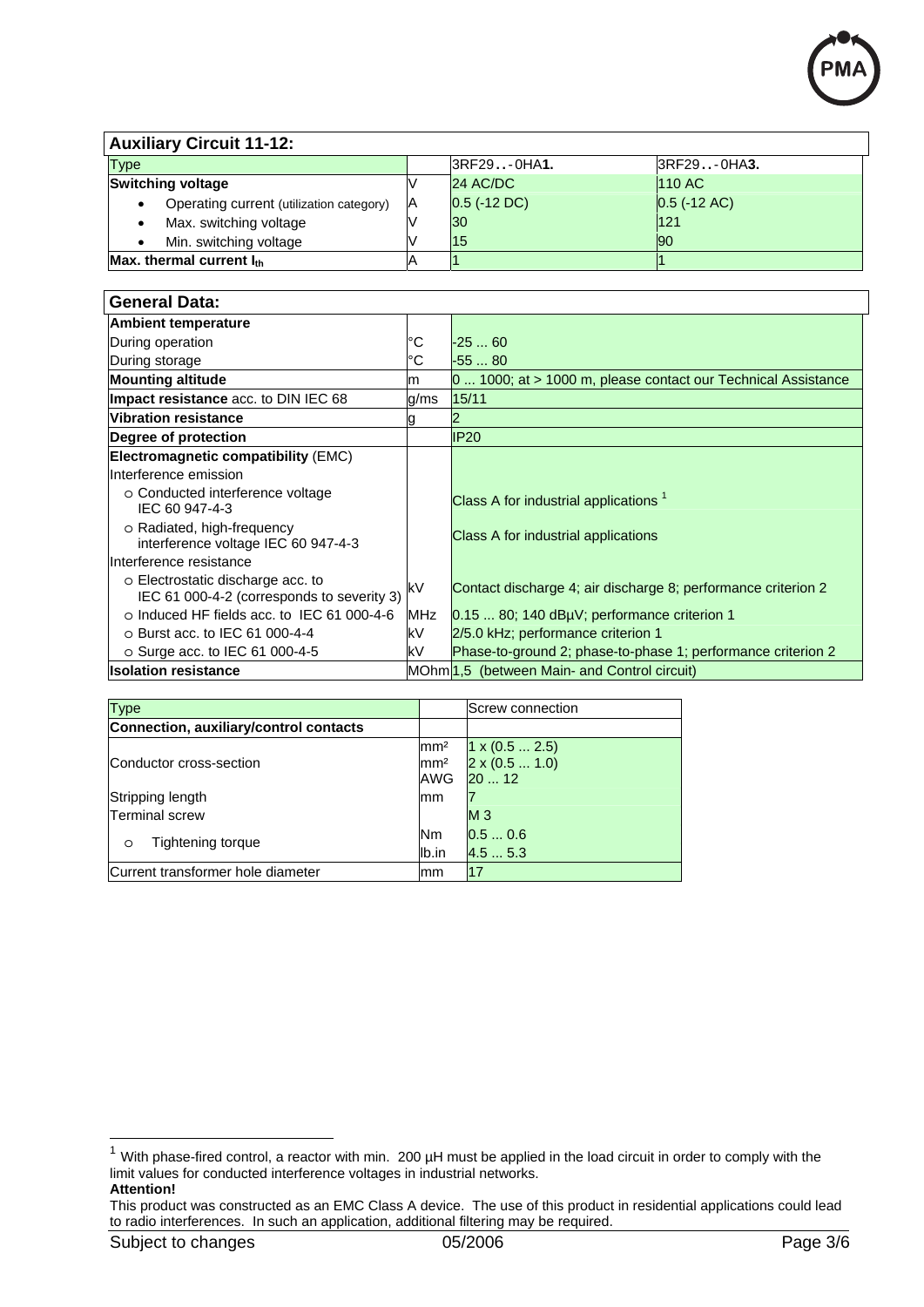

### **Auxiliary Circuit 11-12:**

| <b>Type</b>                                           |      | IRF29OHA1.     | 3RF29-0HA3.     |  |  |
|-------------------------------------------------------|------|----------------|-----------------|--|--|
| <b>Switching voltage</b>                              |      | 24 AC/DC       | <b>110 AC</b>   |  |  |
| Operating current (utilization category)<br>$\bullet$ | - IA | $0.5$ (-12 DC) | $ 0.5$ (-12 AC) |  |  |
| Max. switching voltage                                |      | 30             | 121             |  |  |
| Min. switching voltage                                |      | 15             | 190             |  |  |
| Max. thermal current $I_{th}$                         |      |                |                 |  |  |

| <b>General Data:</b>                                                            |      |                                                               |
|---------------------------------------------------------------------------------|------|---------------------------------------------------------------|
| <b>Ambient temperature</b>                                                      |      |                                                               |
| During operation                                                                | °C   | $-2560$                                                       |
| During storage                                                                  | °C   | $-5580$                                                       |
| <b>Mounting altitude</b>                                                        | m    | 0  1000; at > 1000 m, please contact our Technical Assistance |
| Impact resistance acc. to DIN IEC 68                                            | g/ms | 15/11                                                         |
| <b>Vibration resistance</b>                                                     | g    |                                                               |
| Degree of protection                                                            |      | <b>IP20</b>                                                   |
| Electromagnetic compatibility (EMC)                                             |      |                                                               |
| Interference emission                                                           |      |                                                               |
| o Conducted interference voltage<br>IEC 60 947-4-3                              |      | Class A for industrial applications <sup>1</sup>              |
| o Radiated, high-frequency<br>interference voltage IEC 60 947-4-3               |      | Class A for industrial applications                           |
| Interference resistance                                                         |      |                                                               |
| o Electrostatic discharge acc. to<br>IEC 61 000-4-2 (corresponds to severity 3) | kV   | Contact discharge 4; air discharge 8; performance criterion 2 |
| $\circ$ Induced HF fields acc. to IEC 61 000-4-6                                | MHz  | $0.1580$ ; 140 dB $\mu$ V; performance criterion 1            |
| $\circ$ Burst acc. to IEC 61 000-4-4                                            | kV   | 2/5.0 kHz; performance criterion 1                            |
| o Surge acc. to IEC 61 000-4-5                                                  | kV   | Phase-to-ground 2; phase-to-phase 1; performance criterion 2  |
| <b>Isolation resistance</b>                                                     |      | MOhm 1,5 (between Main- and Control circuit)                  |

| <b>Type</b>                            |                                         | Screw connection                                       |
|----------------------------------------|-----------------------------------------|--------------------------------------------------------|
| Connection, auxiliary/control contacts |                                         |                                                        |
| Conductor cross-section                | $\text{mm}^2$<br>mm <sup>2</sup><br>AWG | $1 \times (0.5  2.5)$<br>$2 \times (0.5  1.0)$<br>2012 |
| Stripping length                       | mm                                      |                                                        |
| <b>Terminal screw</b>                  |                                         | M <sub>3</sub>                                         |
| Tightening torque                      | Nm.                                     | 0.50.6                                                 |
| $\circ$                                | lb.in                                   | 4.55.3                                                 |
| Current transformer hole diameter      | mm                                      | 17                                                     |

1

 $1$  With phase-fired control, a reactor with min. 200  $\mu$ H must be applied in the load circuit in order to comply with the limit values for conducted interference voltages in industrial networks. **Attention!** 

This product was constructed as an EMC Class A device. The use of this product in residential applications could lead to radio interferences. In such an application, additional filtering may be required.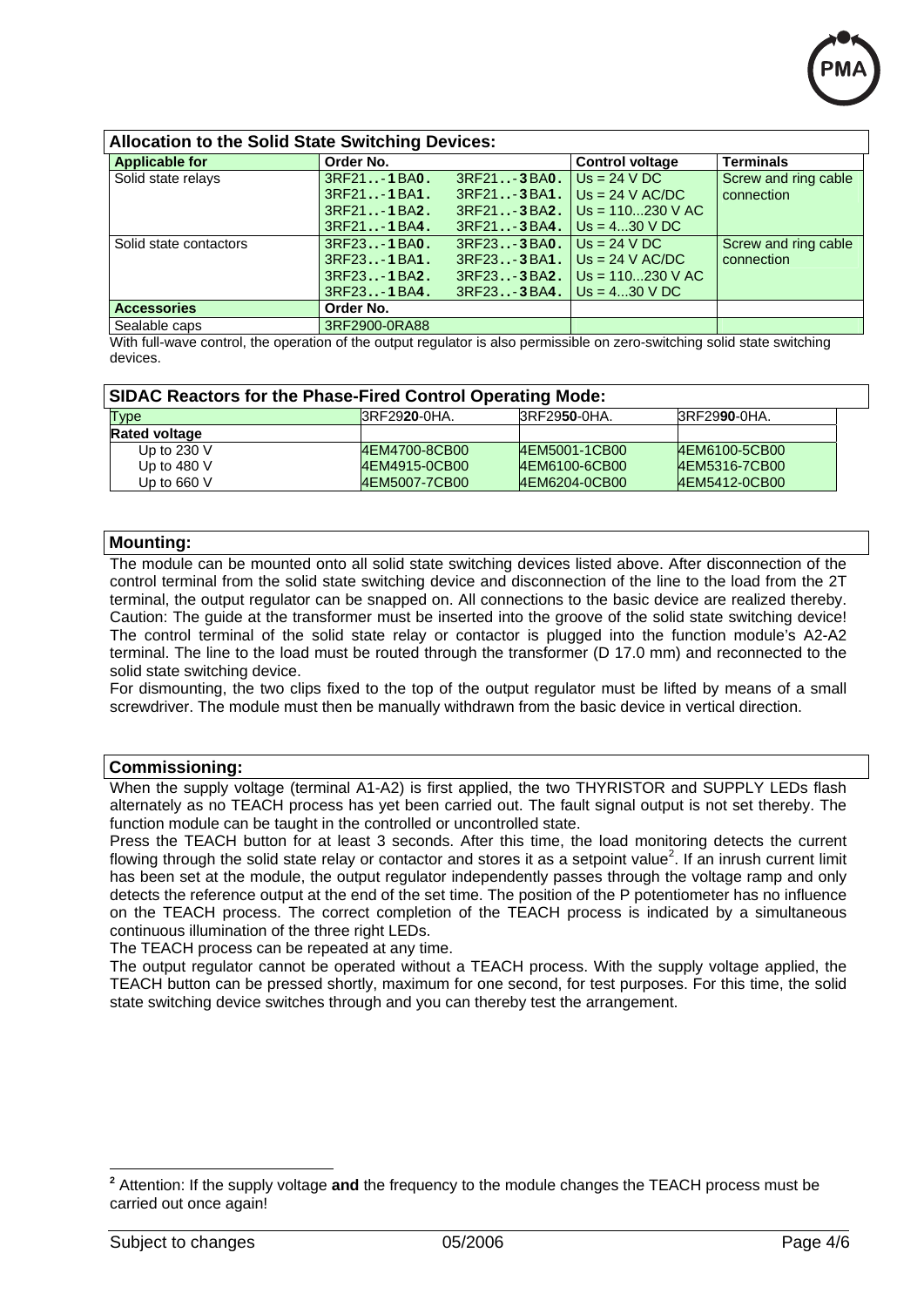

### **Allocation to the Solid State Switching Devices: Applicable for Control voltage Terminals Applicable for Control voltage Terminals** Solid state relays 3RF21 **. .**- **1**BA**0.** 3RF21 **. .**- **3**BA**0 .** 3RF21 **. .**- **1**BA**1.** 3RF21 **. .**- **3**BA**1 .** 3RF21 **. .**- **1**BA**2.** 3RF21 **. .**- **3**BA**2 .** 3RF21 **. .**- **1**BA**4.** 3RF21 **. .**- **3**BA**4 .**  $Us = 24 VDC$ Us = 24 V AC/DC Us = 110...230 V AC  $Us = 4...30 V DC$ **Screw and ring cable** connection Solid state contactors 3RF23 **. .**- **1**BA**0.** 3RF23 **. .**- **3**BA**0 .** 3RF23 **. .**- **1**BA**1.** 3RF23 **. .**- **3**BA**1 .** 3RF23 **. .**- **1**BA**2.** 3RF23 **. .**- **3**BA**2 .** 3RF23 **. .**- **1**BA**4.** 3RF23 **. .**- **3**BA**4 .**  $Us = 24 V DC$  $Us = 24 V AC/DC$ Us = 110...230 V AC  $Us = 4...30 V DC$ Screw and ring cable connection **Accessories Drugs Corder No.** Sealable caps 3RF2900-0RA88

With full-wave control, the operation of the output regulator is also permissible on zero-switching solid state switching devices.

### **SIDAC Reactors for the Phase-Fired Control Operating Mode:**

| Type                 | BRF2920-0HA.  | BRF2950-0HA.  | BRF2990-0HA.  |
|----------------------|---------------|---------------|---------------|
| <b>Rated voltage</b> |               |               |               |
| Up to $230$ V        | 4EM4700-8CB00 | 4EM5001-1CB00 | 4EM6100-5CB00 |
| Up to 480 $V$        | 4EM4915-0CB00 | 4EM6100-6CB00 | 4EM5316-7CB00 |
| Up to 660 $\vee$     | 4EM5007-7CB00 | 4EM6204-0CB00 | 4EM5412-0CB00 |

### **Mounting:**

The module can be mounted onto all solid state switching devices listed above. After disconnection of the control terminal from the solid state switching device and disconnection of the line to the load from the 2T terminal, the output regulator can be snapped on. All connections to the basic device are realized thereby. Caution: The guide at the transformer must be inserted into the groove of the solid state switching device! The control terminal of the solid state relay or contactor is plugged into the function module's A2-A2 terminal. The line to the load must be routed through the transformer (D 17.0 mm) and reconnected to the solid state switching device.

For dismounting, the two clips fixed to the top of the output regulator must be lifted by means of a small screwdriver. The module must then be manually withdrawn from the basic device in vertical direction.

### **Commissioning:**

When the supply voltage (terminal A1-A2) is first applied, the two THYRISTOR and SUPPLY LEDs flash alternately as no TEACH process has yet been carried out. The fault signal output is not set thereby. The function module can be taught in the controlled or uncontrolled state.

Press the TEACH button for at least 3 seconds. After this time, the load monitoring detects the current flowing through the solid state relay or contactor and stores it as a setpoint value<sup>2</sup>. If an inrush current limit has been set at the module, the output regulator independently passes through the voltage ramp and only detects the reference output at the end of the set time. The position of the P potentiometer has no influence on the TEACH process. The correct completion of the TEACH process is indicated by a simultaneous continuous illumination of the three right LEDs.

The TEACH process can be repeated at any time.

The output regulator cannot be operated without a TEACH process. With the supply voltage applied, the TEACH button can be pressed shortly, maximum for one second, for test purposes. For this time, the solid state switching device switches through and you can thereby test the arrangement.

1

**<sup>2</sup>** Attention: If the supply voltage **and** the frequency to the module changes the TEACH process must be carried out once again!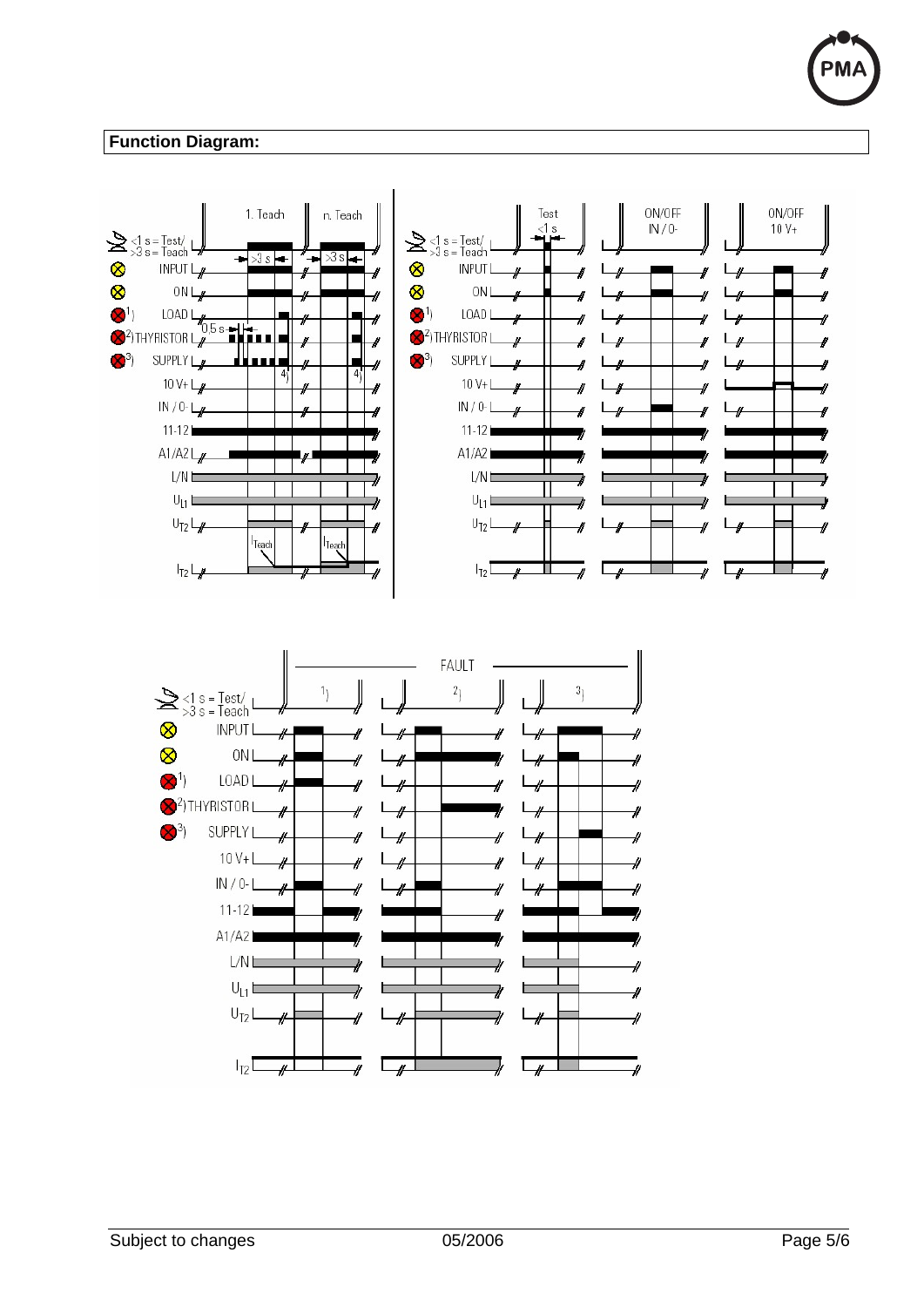## **Function Diagram:**